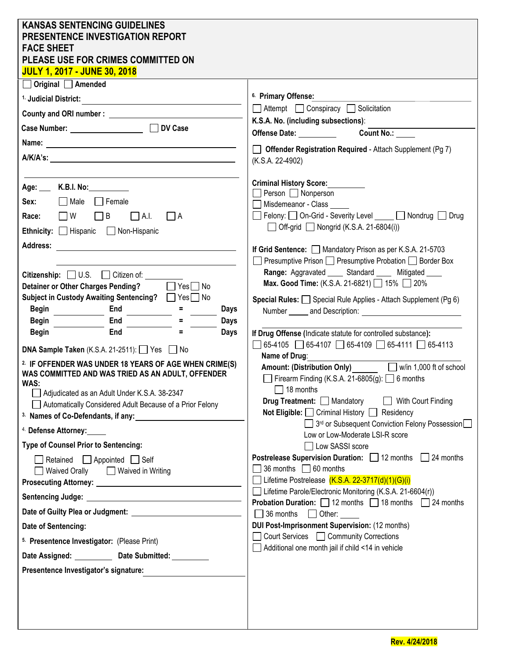| <b>KANSAS SENTENCING GUIDELINES</b><br><b>PRESENTENCE INVESTIGATION REPORT</b><br><b>FACE SHEET</b><br>PLEASE USE FOR CRIMES COMMITTED ON<br><b>JULY 1, 2017 - JUNE 30, 2018</b>                                                                                                                                                                                                                                                                                                                                                                                                                                                                                                                                                                                                                                                                                                                                                                                                                                  |                                                                                                                                                                                                                                                                                                                                                                                                                                                                                                                                                                                                                                                                                                                                                                                                                                                                                                                                                                                                                                                                                                                                                                                                                                                                                                                                                                                                                                                                                                                                  |
|-------------------------------------------------------------------------------------------------------------------------------------------------------------------------------------------------------------------------------------------------------------------------------------------------------------------------------------------------------------------------------------------------------------------------------------------------------------------------------------------------------------------------------------------------------------------------------------------------------------------------------------------------------------------------------------------------------------------------------------------------------------------------------------------------------------------------------------------------------------------------------------------------------------------------------------------------------------------------------------------------------------------|----------------------------------------------------------------------------------------------------------------------------------------------------------------------------------------------------------------------------------------------------------------------------------------------------------------------------------------------------------------------------------------------------------------------------------------------------------------------------------------------------------------------------------------------------------------------------------------------------------------------------------------------------------------------------------------------------------------------------------------------------------------------------------------------------------------------------------------------------------------------------------------------------------------------------------------------------------------------------------------------------------------------------------------------------------------------------------------------------------------------------------------------------------------------------------------------------------------------------------------------------------------------------------------------------------------------------------------------------------------------------------------------------------------------------------------------------------------------------------------------------------------------------------|
| $\Box$ Original $\Box$ Amended                                                                                                                                                                                                                                                                                                                                                                                                                                                                                                                                                                                                                                                                                                                                                                                                                                                                                                                                                                                    |                                                                                                                                                                                                                                                                                                                                                                                                                                                                                                                                                                                                                                                                                                                                                                                                                                                                                                                                                                                                                                                                                                                                                                                                                                                                                                                                                                                                                                                                                                                                  |
| <sup>1.</sup> Judicial District:                                                                                                                                                                                                                                                                                                                                                                                                                                                                                                                                                                                                                                                                                                                                                                                                                                                                                                                                                                                  | <sup>6.</sup> Primary Offense:                                                                                                                                                                                                                                                                                                                                                                                                                                                                                                                                                                                                                                                                                                                                                                                                                                                                                                                                                                                                                                                                                                                                                                                                                                                                                                                                                                                                                                                                                                   |
| County and ORI number: <u>contract the contract of the contract of the contract of the contract of the contract of the contract of the contract of the contract of the contract of the contract of the contract of the contract </u>                                                                                                                                                                                                                                                                                                                                                                                                                                                                                                                                                                                                                                                                                                                                                                              | Attempt Conspiracy Solicitation                                                                                                                                                                                                                                                                                                                                                                                                                                                                                                                                                                                                                                                                                                                                                                                                                                                                                                                                                                                                                                                                                                                                                                                                                                                                                                                                                                                                                                                                                                  |
|                                                                                                                                                                                                                                                                                                                                                                                                                                                                                                                                                                                                                                                                                                                                                                                                                                                                                                                                                                                                                   | K.S.A. No. (including subsections):                                                                                                                                                                                                                                                                                                                                                                                                                                                                                                                                                                                                                                                                                                                                                                                                                                                                                                                                                                                                                                                                                                                                                                                                                                                                                                                                                                                                                                                                                              |
|                                                                                                                                                                                                                                                                                                                                                                                                                                                                                                                                                                                                                                                                                                                                                                                                                                                                                                                                                                                                                   | Offense Date: Count No.:                                                                                                                                                                                                                                                                                                                                                                                                                                                                                                                                                                                                                                                                                                                                                                                                                                                                                                                                                                                                                                                                                                                                                                                                                                                                                                                                                                                                                                                                                                         |
|                                                                                                                                                                                                                                                                                                                                                                                                                                                                                                                                                                                                                                                                                                                                                                                                                                                                                                                                                                                                                   | Offender Registration Required - Attach Supplement (Pg 7)                                                                                                                                                                                                                                                                                                                                                                                                                                                                                                                                                                                                                                                                                                                                                                                                                                                                                                                                                                                                                                                                                                                                                                                                                                                                                                                                                                                                                                                                        |
|                                                                                                                                                                                                                                                                                                                                                                                                                                                                                                                                                                                                                                                                                                                                                                                                                                                                                                                                                                                                                   |                                                                                                                                                                                                                                                                                                                                                                                                                                                                                                                                                                                                                                                                                                                                                                                                                                                                                                                                                                                                                                                                                                                                                                                                                                                                                                                                                                                                                                                                                                                                  |
| Age: K.B.I. No:<br>Male Flemale<br>Sex:<br>$\Box$ W<br>$\Box$ B<br>$\Box$ A.I.<br>$\Box$ A<br>Race:<br>Ethnicity: Hispanic Non-Hispanic<br><b>Address:</b><br>Citizenship: $\Box$ U.S. $\Box$ Citizen of:<br><b>Detainer or Other Charges Pending?</b><br>$\Box$ Yes $\Box$ No<br>Subject in Custody Awaiting Sentencing? ■ Yes□ No<br><b>Begin</b><br>End<br><b>Days</b><br>$=$<br>Begin<br>End<br><b>Days</b><br>End<br><b>Begin</b><br><b>Days</b><br>DNA Sample Taken (K.S.A. 21-2511): Yes No<br><sup>2.</sup> IF OFFENDER WAS UNDER 18 YEARS OF AGE WHEN CRIME(S)<br>WAS COMMITTED AND WAS TRIED AS AN ADULT, OFFENDER<br>WAS:<br>Adjudicated as an Adult Under K.S.A. 38-2347<br>Automatically Considered Adult Because of a Prior Felony<br><sup>4.</sup> Defense Attorney:<br>Type of Counsel Prior to Sentencing:<br>Retained $\Box$ Appointed $\Box$ Self<br>Waived Orally   Waived in Writing<br>Date of Sentencing:<br>5. Presentence Investigator: (Please Print)<br>Date Assigned: Date Submitted: | (K.S.A. 22-4902)<br><b>Criminal History Score:</b><br>$\Box$ Person $\Box$ Nonperson<br>Misdemeanor - Class<br>Felony: On-Grid - Severity Level ____ Mondrug Drug<br>$\Box$ Off-grid $\Box$ Nongrid (K.S.A. 21-6804(i))<br>If Grid Sentence: Mandatory Prison as per K.S.A. 21-5703<br>□ Presumptive Prison □ Presumptive Probation □ Border Box<br>Range: Aggravated _____ Standard _____ Mitigated ____<br>Max. Good Time: (K.S.A. 21-6821) 15% 20%<br><b>Special Rules:</b> $\Box$ Special Rule Applies - Attach Supplement (Pg 6)<br>If Drug Offense (Indicate statute for controlled substance):<br>$\Box$ 65-4105 $\Box$ 65-4107 $\Box$ 65-4109 $\Box$ 65-4111 $\Box$ 65-4113<br>Name of Drug:<br>Amount: (Distribution Only) W/in 1,000 ft of school<br>Firearm Finding (K.S.A. 21-6805(g): $\Box$ 6 months<br>18 months<br>Drug Treatment: Mandatory<br>With Court Finding<br>Not Eligible: Criminal History Residency<br>3rd or Subsequent Conviction Felony Possession<br>Low or Low-Moderate LSI-R score<br>□ Low SASSI score<br>Postrelease Supervision Duration: □ 12 months □ 24 months<br>$\Box$ 36 months $\Box$ 60 months<br>Lifetime Postrelease $(K.S.A. 22-3717(d)(1)(G)(i))$<br>Lifetime Parole/Electronic Monitoring (K.S.A. 21-6604(r))<br><b>Probation Duration:</b> $\Box$ 12 months $\Box$ 18 months $\Box$ 24 months<br>36 months 10 Other:<br><b>DUI Post-Imprisonment Supervision: (12 months)</b><br>◯ Court Services ◯ Community Corrections<br>Additional one month jail if child <14 in vehicle |
| Presentence Investigator's signature:                                                                                                                                                                                                                                                                                                                                                                                                                                                                                                                                                                                                                                                                                                                                                                                                                                                                                                                                                                             |                                                                                                                                                                                                                                                                                                                                                                                                                                                                                                                                                                                                                                                                                                                                                                                                                                                                                                                                                                                                                                                                                                                                                                                                                                                                                                                                                                                                                                                                                                                                  |
|                                                                                                                                                                                                                                                                                                                                                                                                                                                                                                                                                                                                                                                                                                                                                                                                                                                                                                                                                                                                                   |                                                                                                                                                                                                                                                                                                                                                                                                                                                                                                                                                                                                                                                                                                                                                                                                                                                                                                                                                                                                                                                                                                                                                                                                                                                                                                                                                                                                                                                                                                                                  |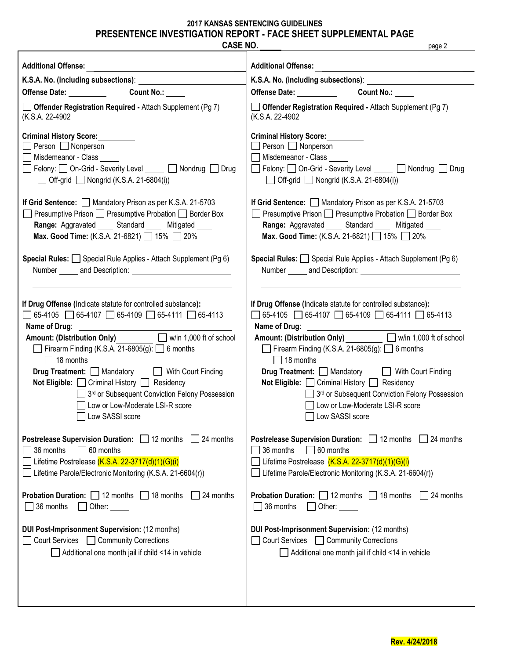## **2017 KANSAS SENTENCING GUIDELINES PRESENTENCE INVESTIGATION REPORT - FACE SHEET SUPPLEMENTAL PAGE**

| <b>CASE NO.</b>                                                    | page 2                                                                                 |
|--------------------------------------------------------------------|----------------------------------------------------------------------------------------|
| <b>Additional Offense:</b>                                         | <b>Additional Offense:</b><br><u> 1980 - Jan Stein Stein, fransk politik (f. 1918)</u> |
|                                                                    |                                                                                        |
| Offense Date: Count No.:                                           | Offense Date: __________<br><b>Count No.:</b>                                          |
| <b>Offender Registration Required - Attach Supplement (Pg 7)</b>   | $\Box$ Offender Registration Required - Attach Supplement (Pg 7)                       |
| (K.S.A. 22-4902)                                                   | (K.S.A. 22-4902)                                                                       |
| <b>Criminal History Score:</b>                                     | <b>Criminal History Score:</b>                                                         |
| $\Box$ Person $\Box$ Nonperson                                     | $\Box$ Person $\Box$ Nonperson                                                         |
| Misdemeanor - Class _____                                          | Misdemeanor - Class                                                                    |
| □ Felony: □ On-Grid - Severity Level _____ □ Nondrug □ Drug        | Felony: On-Grid - Severity Level Comparently Nondrug Drug                              |
| $\Box$ Off-grid $\Box$ Nongrid (K.S.A. 21-6804(i))                 | $\Box$ Off-grid $\Box$ Nongrid (K.S.A. 21-6804(i))                                     |
| If Grid Sentence: Mandatory Prison as per K.S.A. 21-5703           | If Grid Sentence: Mandatory Prison as per K.S.A. 21-5703                               |
| Presumptive Prison □ Presumptive Probation □ Border Box            | ] Presumptive Prison □ Presumptive Probation □ Border Box                              |
| Range: Aggravated _____ Standard _____ Mitigated ____              | Range: Aggravated _____ Standard _____ Mitigated ____                                  |
| Max. Good Time: (K.S.A. 21-6821) 15% 20%                           | Max. Good Time: (K.S.A. 21-6821) 15% 20%                                               |
| Special Rules: Special Rule Applies - Attach Supplement (Pg 6)     | Special Rules: Special Rule Applies - Attach Supplement (Pg 6)                         |
|                                                                    |                                                                                        |
| If Drug Offense (Indicate statute for controlled substance):       | If Drug Offense (Indicate statute for controlled substance):                           |
| $\Box$ 65-4105 65-4107 65-4109 65-4111 65-4113                     | $\Box$ 65-4105 $\Box$ 65-4107 $\Box$ 65-4109 $\Box$ 65-4111 $\Box$ 65-4113             |
| Name of Drug: Name of Drug:                                        | Name of Drug: <u>contract and the set of Drugs</u>                                     |
| Amount: (Distribution Only) W/in 1,000 ft of school                | Amount: (Distribution Only) _________ D w/in 1,000 ft of school                        |
| Firearm Finding (K.S.A. 21-6805(g): $\Box$ 6 months                | Firearm Finding (K.S.A. 21-6805(g): $\Box$ 6 months                                    |
| $\Box$ 18 months                                                   | $\Box$ 18 months                                                                       |
| <b>Drug Treatment:</b> Mandatory <b>No. 2.1 With Court Finding</b> | Drug Treatment: Mandatory Mith Court Finding                                           |
| Not Eligible: Criminal History Residency                           | Not Eligible: Criminal History Residency                                               |
| 3 <sup>rd</sup> or Subsequent Conviction Felony Possession         | 3 <sup>rd</sup> or Subsequent Conviction Felony Possession                             |
| Low or Low-Moderate LSI-R score                                    | □ Low or Low-Moderate LSI-R score                                                      |
| Low SASSI score                                                    | Low SASSI score                                                                        |
| Postrelease Supervision Duration: 12 months                        | <b>Postrelease Supervision Duration:</b> 12 months                                     |
| 24 months                                                          | 24 months                                                                              |
| 36 months                                                          | 36 months                                                                              |
| 60 months                                                          | $\Box$ 60 months                                                                       |
| Lifetime Postrelease (K.S.A. 22-3717(d)(1)(G)(i)                   | Lifetime Postrelease (K.S.A. 22-3717(d)(1)(G)(i)                                       |
| Lifetime Parole/Electronic Monitoring (K.S.A. 21-6604(r))          | Lifetime Parole/Electronic Monitoring (K.S.A. 21-6604(r))                              |
| <b>Probation Duration:</b> $\Box$ 12 months $\Box$ 18 months       | <b>Probation Duration:</b> $\Box$ 12 months $\Box$ 18 months                           |
| 24 months                                                          | 24 months                                                                              |
| 36 months                                                          | 36 months                                                                              |
| $\Box$ Other:                                                      | Other:                                                                                 |
| DUI Post-Imprisonment Supervision: (12 months)                     | DUI Post-Imprisonment Supervision: (12 months)                                         |
| Court Services   Community Corrections                             | Court Services   Community Corrections                                                 |
| Additional one month jail if child <14 in vehicle                  | Additional one month jail if child <14 in vehicle                                      |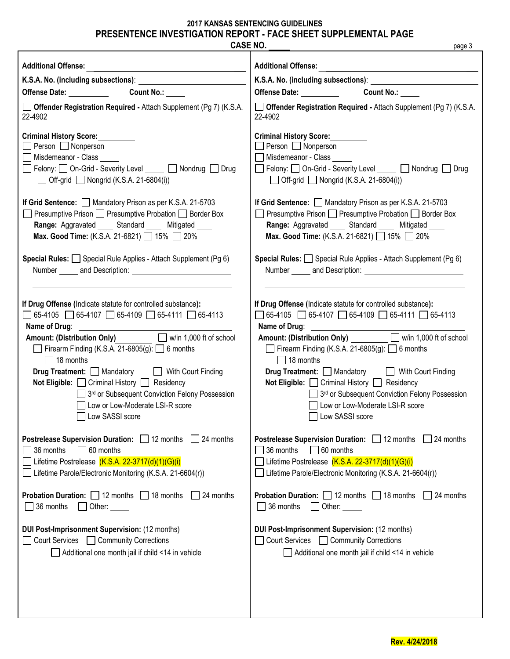# **2017 KANSAS SENTENCING GUIDELINES PRESENTENCE INVESTIGATION REPORT - FACE SHEET SUPPLEMENTAL PAGE**

| <b>CASE NO.</b>                                                                                                                                                                                                                | page 3                                                                                                                                                                                                                         |
|--------------------------------------------------------------------------------------------------------------------------------------------------------------------------------------------------------------------------------|--------------------------------------------------------------------------------------------------------------------------------------------------------------------------------------------------------------------------------|
| <b>Additional Offense:</b>                                                                                                                                                                                                     | <b>Additional Offense:</b>                                                                                                                                                                                                     |
| <u> 1989 - Andrea Station Barbara (b. 1989)</u>                                                                                                                                                                                | <u> 1989 - Johann John Stone, mars et al. (</u>                                                                                                                                                                                |
| K.S.A. No. (including subsections): Management of the state of the state of the state of the state of the state of the state of the state of the state of the state of the state of the state of the state of the state of the | K.S.A. No. (including subsections): [1995] [1996] [1996] [1996] [1996] [1996] [1996] [1996] [1996] [1996] [1996] [1996] [1996] [1996] [1996] [1996] [1996] [1996] [1996] [1996] [1996] [1996] [1996] [1996] [1996] [1996] [199 |
| Offense Date: Count No.: COUNT No.:                                                                                                                                                                                            | Offense Date: __________<br><b>Count No.:</b>                                                                                                                                                                                  |
| <b>Offender Registration Required - Attach Supplement (Pg 7) (K.S.A.</b>                                                                                                                                                       | <b>Offender Registration Required - Attach Supplement (Pg 7) (K.S.A.</b>                                                                                                                                                       |
| 22-4902                                                                                                                                                                                                                        | 22-4902                                                                                                                                                                                                                        |
| <b>Criminal History Score:</b>                                                                                                                                                                                                 | <b>Criminal History Score:</b>                                                                                                                                                                                                 |
| $\Box$ Person $\Box$ Nonperson                                                                                                                                                                                                 | Person Nonperson                                                                                                                                                                                                               |
| Misdemeanor - Class                                                                                                                                                                                                            | Misdemeanor - Class                                                                                                                                                                                                            |
| □ Felony: □ On-Grid - Severity Level _____ □ Nondrug □ Drug                                                                                                                                                                    | Felony: On-Grid - Severity Level _____ Nondrug Drug                                                                                                                                                                            |
| $\Box$ Off-grid $\Box$ Nongrid (K.S.A. 21-6804(i))                                                                                                                                                                             | $\Box$ Off-grid $\Box$ Nongrid (K.S.A. 21-6804(i))                                                                                                                                                                             |
| If Grid Sentence: Mandatory Prison as per K.S.A. 21-5703                                                                                                                                                                       | If Grid Sentence: Mandatory Prison as per K.S.A. 21-5703                                                                                                                                                                       |
| Presumptive Prison □ Presumptive Probation □ Border Box                                                                                                                                                                        | □ Presumptive Prison □ Presumptive Probation □ Border Box                                                                                                                                                                      |
| Range: Aggravated _____ Standard _____ Mitigated ____                                                                                                                                                                          | Range: Aggravated _____ Standard _____ Mitigated ____                                                                                                                                                                          |
| Max. Good Time: (K.S.A. 21-6821) 15% 20%                                                                                                                                                                                       | Max. Good Time: (K.S.A. 21-6821) 15% 20%                                                                                                                                                                                       |
| Special Rules: Special Rule Applies - Attach Supplement (Pg 6)                                                                                                                                                                 | Special Rules: Special Rule Applies - Attach Supplement (Pg 6)                                                                                                                                                                 |
|                                                                                                                                                                                                                                |                                                                                                                                                                                                                                |
| If Drug Offense (Indicate statute for controlled substance):                                                                                                                                                                   | If Drug Offense (Indicate statute for controlled substance):                                                                                                                                                                   |
| $\Box$ 65-4105 $\Box$ 65-4107 $\Box$ 65-4109 $\Box$ 65-4111 $\Box$ 65-4113                                                                                                                                                     | $\Box$ 65-4105 $\Box$ 65-4107 $\Box$ 65-4109 $\Box$ 65-4111 $\Box$ 65-4113                                                                                                                                                     |
| Name of Drug: <u>contract the contract of Drugs</u>                                                                                                                                                                            |                                                                                                                                                                                                                                |
| Amount: (Distribution Only) W/in 1,000 ft of school                                                                                                                                                                            | Amount: (Distribution Only) W/in 1,000 ft of school                                                                                                                                                                            |
| Firearm Finding (K.S.A. 21-6805(g): $\Box$ 6 months                                                                                                                                                                            | Firearm Finding (K.S.A. 21-6805(g):   6 months                                                                                                                                                                                 |
| $\Box$ 18 months                                                                                                                                                                                                               | $\Box$ 18 months                                                                                                                                                                                                               |
| <b>Drug Treatment:</b> Mandatory <b>No. 2.1 With Court Finding</b>                                                                                                                                                             | <b>Drug Treatment:</b> Mandatory Mith Court Finding                                                                                                                                                                            |
| Not Eligible: <b>□ Criminal History</b> □ Residency                                                                                                                                                                            | Not Eligible: □ Criminal History □ Residency                                                                                                                                                                                   |
| 3 <sup>rd</sup> or Subsequent Conviction Felony Possession                                                                                                                                                                     | 3 <sup>rd</sup> or Subsequent Conviction Felony Possession                                                                                                                                                                     |
| Low or Low-Moderate LSI-R score                                                                                                                                                                                                | □ Low or Low-Moderate LSI-R score                                                                                                                                                                                              |
| Low SASSI score                                                                                                                                                                                                                | Low SASSI score                                                                                                                                                                                                                |
| <b>Postrelease Supervision Duration:</b> 12 months                                                                                                                                                                             | <b>Postrelease Supervision Duration:</b> 12 months                                                                                                                                                                             |
| 24 months                                                                                                                                                                                                                      | 24 months                                                                                                                                                                                                                      |
| 36 months                                                                                                                                                                                                                      | 36 months                                                                                                                                                                                                                      |
| 60 months                                                                                                                                                                                                                      | 60 months                                                                                                                                                                                                                      |
| Lifetime Postrelease $(K.S.A. 22-3717(d)(1)(G)(i))$                                                                                                                                                                            | Lifetime Postrelease (K.S.A. 22-3717(d)(1)(G)(i)                                                                                                                                                                               |
| Lifetime Parole/Electronic Monitoring (K.S.A. 21-6604(r))                                                                                                                                                                      | Lifetime Parole/Electronic Monitoring (K.S.A. 21-6604(r))                                                                                                                                                                      |
| <b>Probation Duration:</b> $\Box$ 12 months $\Box$<br>18 months<br>24 months<br>36 months<br>Other:                                                                                                                            | <b>Probation Duration:</b> $\Box$ 12 months $\Box$ 18 months<br>24 months<br>36 months<br>Other:                                                                                                                               |
| DUI Post-Imprisonment Supervision: (12 months)<br>Court Services<br>Community Corrections<br>Additional one month jail if child <14 in vehicle                                                                                 | DUI Post-Imprisonment Supervision: (12 months)<br>Court Services Community Corrections<br>Additional one month jail if child <14 in vehicle                                                                                    |
|                                                                                                                                                                                                                                |                                                                                                                                                                                                                                |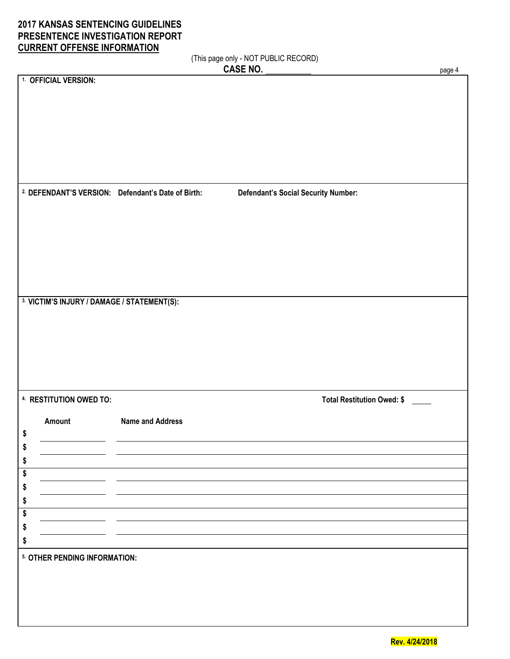## **2017 KANSAS SENTENCING GUIDELINES PRESENTENCE INVESTIGATION REPORT CURRENT OFFENSE INFORMATION**

(This page only - NOT PUBLIC RECORD)

|                                                              |                         | (This page only - NOT PUBLIC RECORD)       |        |
|--------------------------------------------------------------|-------------------------|--------------------------------------------|--------|
|                                                              |                         | <b>CASE NO.</b>                            | page 4 |
| 1. OFFICIAL VERSION:                                         |                         |                                            |        |
|                                                              |                         |                                            |        |
|                                                              |                         |                                            |        |
|                                                              |                         |                                            |        |
|                                                              |                         |                                            |        |
|                                                              |                         |                                            |        |
|                                                              |                         |                                            |        |
|                                                              |                         |                                            |        |
|                                                              |                         |                                            |        |
|                                                              |                         |                                            |        |
| <sup>2</sup> DEFENDANT'S VERSION: Defendant's Date of Birth: |                         | <b>Defendant's Social Security Number:</b> |        |
|                                                              |                         |                                            |        |
|                                                              |                         |                                            |        |
|                                                              |                         |                                            |        |
|                                                              |                         |                                            |        |
|                                                              |                         |                                            |        |
|                                                              |                         |                                            |        |
|                                                              |                         |                                            |        |
|                                                              |                         |                                            |        |
|                                                              |                         |                                            |        |
| 3. VICTIM'S INJURY / DAMAGE / STATEMENT(S):                  |                         |                                            |        |
|                                                              |                         |                                            |        |
|                                                              |                         |                                            |        |
|                                                              |                         |                                            |        |
|                                                              |                         |                                            |        |
|                                                              |                         |                                            |        |
|                                                              |                         |                                            |        |
|                                                              |                         |                                            |        |
|                                                              |                         |                                            |        |
| 4. RESTITUTION OWED TO:                                      |                         | <b>Total Restitution Owed: \$</b>          |        |
|                                                              |                         |                                            |        |
| Amount                                                       | <b>Name and Address</b> |                                            |        |
|                                                              |                         |                                            |        |
|                                                              |                         |                                            |        |
|                                                              |                         |                                            |        |
|                                                              |                         |                                            |        |
| S                                                            |                         |                                            |        |
| 5                                                            |                         |                                            |        |
|                                                              |                         |                                            |        |
|                                                              |                         |                                            |        |
| \$                                                           |                         |                                            |        |
| S                                                            |                         |                                            |        |
|                                                              |                         |                                            |        |
|                                                              |                         |                                            |        |
| 5. OTHER PENDING INFORMATION:                                |                         |                                            |        |
|                                                              |                         |                                            |        |
|                                                              |                         |                                            |        |
|                                                              |                         |                                            |        |
|                                                              |                         |                                            |        |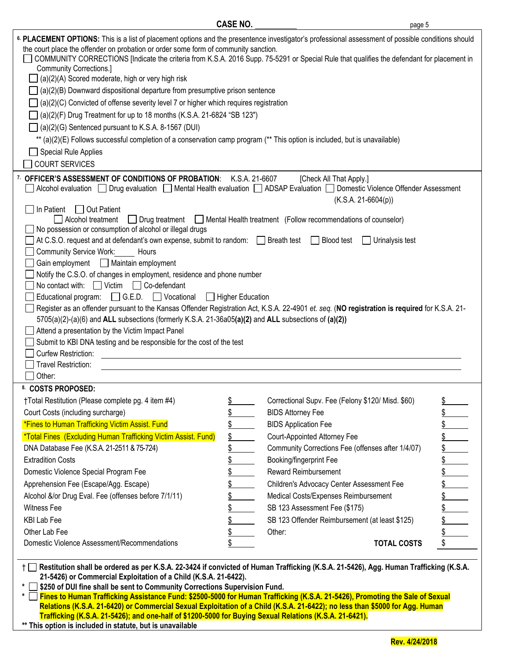| <sup>6</sup> PLACEMENT OPTIONS: This is a list of placement options and the presentence investigator's professional assessment of possible conditions should<br>the court place the offender on probation or order some form of community sanction.<br>COMMUNITY CORRECTIONS [Indicate the criteria from K.S.A. 2016 Supp. 75-5291 or Special Rule that qualifies the defendant for placement in<br><b>Community Corrections.]</b><br>$\Box$ (a)(2)(A) Scored moderate, high or very high risk<br>(a)(2)(B) Downward dispositional departure from presumptive prison sentence<br>(a)(2)(C) Convicted of offense severity level 7 or higher which requires registration<br>(a)(2)(F) Drug Treatment for up to 18 months (K.S.A. 21-6824 "SB 123")<br>(a)(2)(G) Sentenced pursuant to K.S.A. 8-1567 (DUI)<br>** (a)(2)(E) Follows successful completion of a conservation camp program (** This option is included, but is unavailable)<br><b>Special Rule Applies</b><br><b>COURT SERVICES</b> |                |                                                                                  |           |  |  |  |  |  |  |
|-----------------------------------------------------------------------------------------------------------------------------------------------------------------------------------------------------------------------------------------------------------------------------------------------------------------------------------------------------------------------------------------------------------------------------------------------------------------------------------------------------------------------------------------------------------------------------------------------------------------------------------------------------------------------------------------------------------------------------------------------------------------------------------------------------------------------------------------------------------------------------------------------------------------------------------------------------------------------------------------------|----------------|----------------------------------------------------------------------------------|-----------|--|--|--|--|--|--|
| 7. OFFICER'S ASSESSMENT OF CONDITIONS OF PROBATION:<br>Alcohol evaluation Dug evaluation Mental Health evaluation ADSAP Evaluation DDomestic Violence Offender Assessment                                                                                                                                                                                                                                                                                                                                                                                                                                                                                                                                                                                                                                                                                                                                                                                                                     | K.S.A. 21-6607 | [Check All That Apply.]<br>$(K.S.A. 21-6604(p))$                                 |           |  |  |  |  |  |  |
| In Patient $\Box$ Out Patient<br>Alcohol treatment                                                                                                                                                                                                                                                                                                                                                                                                                                                                                                                                                                                                                                                                                                                                                                                                                                                                                                                                            |                | □ Drug treatment □ Mental Health treatment (Follow recommendations of counselor) |           |  |  |  |  |  |  |
| No possession or consumption of alcohol or illegal drugs                                                                                                                                                                                                                                                                                                                                                                                                                                                                                                                                                                                                                                                                                                                                                                                                                                                                                                                                      |                |                                                                                  |           |  |  |  |  |  |  |
| At C.S.O. request and at defendant's own expense, submit to random:<br>Since Breath test                                                                                                                                                                                                                                                                                                                                                                                                                                                                                                                                                                                                                                                                                                                                                                                                                                                                                                      |                | Blood test<br>$\Box$ Urinalysis test                                             |           |  |  |  |  |  |  |
| <b>Community Service Work:</b><br>Hours                                                                                                                                                                                                                                                                                                                                                                                                                                                                                                                                                                                                                                                                                                                                                                                                                                                                                                                                                       |                |                                                                                  |           |  |  |  |  |  |  |
| Gain employment   Maintain employment                                                                                                                                                                                                                                                                                                                                                                                                                                                                                                                                                                                                                                                                                                                                                                                                                                                                                                                                                         |                |                                                                                  |           |  |  |  |  |  |  |
| Notify the C.S.O. of changes in employment, residence and phone number                                                                                                                                                                                                                                                                                                                                                                                                                                                                                                                                                                                                                                                                                                                                                                                                                                                                                                                        |                |                                                                                  |           |  |  |  |  |  |  |
| No contact with: $\Box$ Victim $\Box$ Co-defendant<br>Educational program: G.E.D. Vocational Higher Education                                                                                                                                                                                                                                                                                                                                                                                                                                                                                                                                                                                                                                                                                                                                                                                                                                                                                 |                |                                                                                  |           |  |  |  |  |  |  |
|                                                                                                                                                                                                                                                                                                                                                                                                                                                                                                                                                                                                                                                                                                                                                                                                                                                                                                                                                                                               |                |                                                                                  |           |  |  |  |  |  |  |
| Register as an offender pursuant to the Kansas Offender Registration Act, K.S.A. 22-4901 et. seq. (NO registration is required for K.S.A. 21-<br>$5705(a)(2)-(a)(6)$ and ALL subsections (formerly K.S.A. 21-36a05(a)(2) and ALL subsections of (a)(2))                                                                                                                                                                                                                                                                                                                                                                                                                                                                                                                                                                                                                                                                                                                                       |                |                                                                                  |           |  |  |  |  |  |  |
| Attend a presentation by the Victim Impact Panel                                                                                                                                                                                                                                                                                                                                                                                                                                                                                                                                                                                                                                                                                                                                                                                                                                                                                                                                              |                |                                                                                  |           |  |  |  |  |  |  |
| Submit to KBI DNA testing and be responsible for the cost of the test                                                                                                                                                                                                                                                                                                                                                                                                                                                                                                                                                                                                                                                                                                                                                                                                                                                                                                                         |                |                                                                                  |           |  |  |  |  |  |  |
| Curfew Restriction:                                                                                                                                                                                                                                                                                                                                                                                                                                                                                                                                                                                                                                                                                                                                                                                                                                                                                                                                                                           |                |                                                                                  |           |  |  |  |  |  |  |
| Travel Restriction:                                                                                                                                                                                                                                                                                                                                                                                                                                                                                                                                                                                                                                                                                                                                                                                                                                                                                                                                                                           |                |                                                                                  |           |  |  |  |  |  |  |
| Other:                                                                                                                                                                                                                                                                                                                                                                                                                                                                                                                                                                                                                                                                                                                                                                                                                                                                                                                                                                                        |                |                                                                                  |           |  |  |  |  |  |  |
| 8. COSTS PROPOSED:                                                                                                                                                                                                                                                                                                                                                                                                                                                                                                                                                                                                                                                                                                                                                                                                                                                                                                                                                                            |                |                                                                                  |           |  |  |  |  |  |  |
| †Total Restitution (Please complete pg. 4 item #4)                                                                                                                                                                                                                                                                                                                                                                                                                                                                                                                                                                                                                                                                                                                                                                                                                                                                                                                                            | \$             | Correctional Supv. Fee (Felony \$120/ Misd. \$60)                                | \$        |  |  |  |  |  |  |
| Court Costs (including surcharge)                                                                                                                                                                                                                                                                                                                                                                                                                                                                                                                                                                                                                                                                                                                                                                                                                                                                                                                                                             | \$             | <b>BIDS Attorney Fee</b>                                                         | <u>\$</u> |  |  |  |  |  |  |
| *Fines to Human Trafficking Victim Assist. Fund                                                                                                                                                                                                                                                                                                                                                                                                                                                                                                                                                                                                                                                                                                                                                                                                                                                                                                                                               | \$             | <b>BIDS Application Fee</b>                                                      |           |  |  |  |  |  |  |
| *Total Fines (Excluding Human Trafficking Victim Assist. Fund)                                                                                                                                                                                                                                                                                                                                                                                                                                                                                                                                                                                                                                                                                                                                                                                                                                                                                                                                | \$             | Court-Appointed Attorney Fee                                                     |           |  |  |  |  |  |  |
| DNA Database Fee (K.S.A. 21-2511 & 75-724)                                                                                                                                                                                                                                                                                                                                                                                                                                                                                                                                                                                                                                                                                                                                                                                                                                                                                                                                                    | \$             | Community Corrections Fee (offenses after 1/4/07)                                |           |  |  |  |  |  |  |
| <b>Extradition Costs</b>                                                                                                                                                                                                                                                                                                                                                                                                                                                                                                                                                                                                                                                                                                                                                                                                                                                                                                                                                                      | \$             | Booking/fingerprint Fee                                                          | <u>\$</u> |  |  |  |  |  |  |
| Domestic Violence Special Program Fee                                                                                                                                                                                                                                                                                                                                                                                                                                                                                                                                                                                                                                                                                                                                                                                                                                                                                                                                                         | \$             | <b>Reward Reimbursement</b>                                                      |           |  |  |  |  |  |  |
| Apprehension Fee (Escape/Agg. Escape)                                                                                                                                                                                                                                                                                                                                                                                                                                                                                                                                                                                                                                                                                                                                                                                                                                                                                                                                                         | \$             | Children's Advocacy Center Assessment Fee                                        |           |  |  |  |  |  |  |
| Alcohol &/or Drug Eval. Fee (offenses before 7/1/11)                                                                                                                                                                                                                                                                                                                                                                                                                                                                                                                                                                                                                                                                                                                                                                                                                                                                                                                                          | \$             | Medical Costs/Expenses Reimbursement                                             |           |  |  |  |  |  |  |
| Witness Fee                                                                                                                                                                                                                                                                                                                                                                                                                                                                                                                                                                                                                                                                                                                                                                                                                                                                                                                                                                                   | \$             | SB 123 Assessment Fee (\$175)                                                    |           |  |  |  |  |  |  |
| <b>KBI Lab Fee</b>                                                                                                                                                                                                                                                                                                                                                                                                                                                                                                                                                                                                                                                                                                                                                                                                                                                                                                                                                                            | \$             | SB 123 Offender Reimbursement (at least \$125)                                   |           |  |  |  |  |  |  |
| Other Lab Fee                                                                                                                                                                                                                                                                                                                                                                                                                                                                                                                                                                                                                                                                                                                                                                                                                                                                                                                                                                                 | \$             | Other:                                                                           |           |  |  |  |  |  |  |
| Domestic Violence Assessment/Recommendations                                                                                                                                                                                                                                                                                                                                                                                                                                                                                                                                                                                                                                                                                                                                                                                                                                                                                                                                                  | \$             | <b>TOTAL COSTS</b>                                                               |           |  |  |  |  |  |  |
| $\pm \Box$ Restitution shall be ordered as ner K S A 22-3424 if convicted of Human Trafficking (K S A 21-5426) Ang Human Trafficking (K S A                                                                                                                                                                                                                                                                                                                                                                                                                                                                                                                                                                                                                                                                                                                                                                                                                                                   |                |                                                                                  |           |  |  |  |  |  |  |

 **CASE NO.** page 5

† **Restitution shall be ordered as per K.S.A. 22-3424 if convicted of Human Trafficking (K.S.A. 21-5426), Agg. Human Trafficking (K.S.A. 21-5426) or Commercial Exploitation of a Child (K.S.A. 21-6422).**

**\* \$250 of DUI fine shall be sent to Community Corrections Supervision Fund.**

**\* Fines to Human Trafficking Assistance Fund: \$2500-5000 for Human Trafficking (K.S.A. 21-5426), Promoting the Sale of Sexual Relations (K.S.A. 21-6420) or Commercial Sexual Exploitation of a Child (K.S.A. 21-6422); no less than \$5000 for Agg. Human Trafficking (K.S.A. 21-5426); and one-half of \$1200-5000 for Buying Sexual Relations (K.S.A. 21-6421).**

**\*\* This option is included in statute, but is unavailable**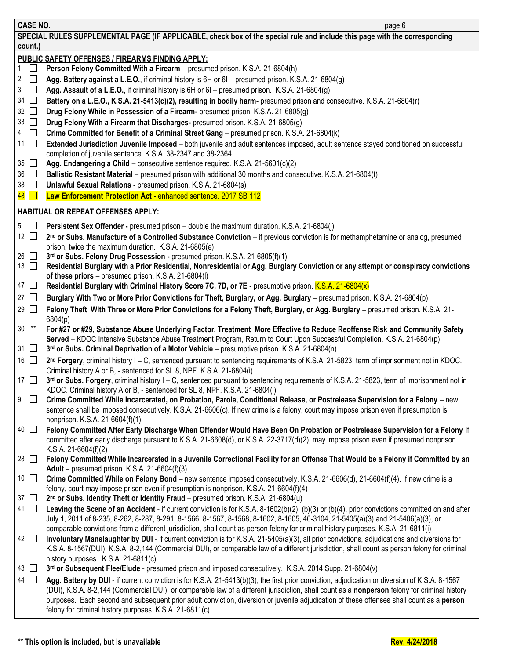| <b>CASE NO.</b>                       | page 6                                                                                                                                                                                                                                                                                                                                                |
|---------------------------------------|-------------------------------------------------------------------------------------------------------------------------------------------------------------------------------------------------------------------------------------------------------------------------------------------------------------------------------------------------------|
|                                       | SPECIAL RULES SUPPLEMENTAL PAGE (IF APPLICABLE, check box of the special rule and include this page with the corresponding                                                                                                                                                                                                                            |
| count.)                               |                                                                                                                                                                                                                                                                                                                                                       |
|                                       | PUBLIC SAFETY OFFENSES / FIREARMS FINDING APPLY:                                                                                                                                                                                                                                                                                                      |
| $1 \mid$                              | Person Felony Committed With a Firearm - presumed prison. K.S.A. 21-6804(h)                                                                                                                                                                                                                                                                           |
| 2 $\Box$                              | Agg. Battery against a L.E.O., if criminal history is 6H or 6I - presumed prison. K.S.A. 21-6804(g)                                                                                                                                                                                                                                                   |
| 3<br>$\Box$                           | Agg. Assault of a L.E.O., if criminal history is 6H or 6I - presumed prison. K.S.A. 21-6804(g)                                                                                                                                                                                                                                                        |
| $34$ $\Box$                           | Battery on a L.E.O., K.S.A. 21-5413(c)(2), resulting in bodily harm- presumed prison and consecutive. K.S.A. 21-6804(r)                                                                                                                                                                                                                               |
| $32$ $\Box$                           | Drug Felony While in Possession of a Firearm- presumed prison. K.S.A. 21-6805(g)                                                                                                                                                                                                                                                                      |
| $33$ $\Box$                           | Drug Felony With a Firearm that Discharges- presumed prison. K.S.A. 21-6805(g)                                                                                                                                                                                                                                                                        |
| 4 $\Box$                              | Crime Committed for Benefit of a Criminal Street Gang - presumed prison. K.S.A. 21-6804(k)                                                                                                                                                                                                                                                            |
| 11 $\Box$                             | Extended Jurisdiction Juvenile Imposed - both juvenile and adult sentences imposed, adult sentence stayed conditioned on successful                                                                                                                                                                                                                   |
|                                       | completion of juvenile sentence. K.S.A. 38-2347 and 38-2364                                                                                                                                                                                                                                                                                           |
| 35 $\Box$                             | Agg. Endangering a Child - consecutive sentence required. K.S.A. 21-5601(c)(2)                                                                                                                                                                                                                                                                        |
| $36$ $\Box$                           | Ballistic Resistant Material - presumed prison with additional 30 months and consecutive. K.S.A. 21-6804(t)                                                                                                                                                                                                                                           |
| $38$ $\Box$<br>$\overline{48}$ $\Box$ | Unlawful Sexual Relations - presumed prison. K.S.A. 21-6804(s)                                                                                                                                                                                                                                                                                        |
|                                       | Law Enforcement Protection Act - enhanced sentence. 2017 SB 112                                                                                                                                                                                                                                                                                       |
|                                       | <b>HABITUAL OR REPEAT OFFENSES APPLY:</b>                                                                                                                                                                                                                                                                                                             |
| $5\Box$                               | Persistent Sex Offender - presumed prison - double the maximum duration. K.S.A. 21-6804(j)                                                                                                                                                                                                                                                            |
| 12 $\Box$                             | 2 <sup>nd</sup> or Subs. Manufacture of a Controlled Substance Conviction - if previous conviction is for methamphetamine or analog, presumed                                                                                                                                                                                                         |
|                                       | prison, twice the maximum duration. K.S.A. 21-6805(e)                                                                                                                                                                                                                                                                                                 |
| 26 $\Box$                             | 3rd or Subs. Felony Drug Possession - presumed prison. K.S.A. 21-6805(f)(1)                                                                                                                                                                                                                                                                           |
| 13 $\Box$                             | Residential Burglary with a Prior Residential, Nonresidential or Agg. Burglary Conviction or any attempt or conspiracy convictions                                                                                                                                                                                                                    |
|                                       | of these priors - presumed prison. K.S.A. 21-6804(I)                                                                                                                                                                                                                                                                                                  |
| 47 □                                  | Residential Burglary with Criminal History Score 7C, 7D, or 7E - presumptive prison. K.S.A. 21-6804(x)                                                                                                                                                                                                                                                |
| 27 $\Box$                             | Burglary With Two or More Prior Convictions for Theft, Burglary, or Agg. Burglary - presumed prison. K.S.A. 21-6804(p)                                                                                                                                                                                                                                |
| 29 $\Box$                             | Felony Theft With Three or More Prior Convictions for a Felony Theft, Burglary, or Agg. Burglary - presumed prison. K.S.A. 21-<br>6804(p)                                                                                                                                                                                                             |
| $30***$<br>31 $\Box$                  | For #27 or #29, Substance Abuse Underlying Factor, Treatment More Effective to Reduce Reoffense Risk and Community Safety<br>Served - KDOC Intensive Substance Abuse Treatment Program, Return to Court Upon Successful Completion. K.S.A. 21-6804(p)<br>3rd or Subs. Criminal Deprivation of a Motor Vehicle - presumptive prison. K.S.A. 21-6804(n) |
| 16 $\Box$                             | 2nd Forgery, criminal history I - C, sentenced pursuant to sentencing requirements of K.S.A. 21-5823, term of imprisonment not in KDOC.                                                                                                                                                                                                               |
|                                       | Criminal history A or B, - sentenced for SL 8, NPF. K.S.A. 21-6804(i)                                                                                                                                                                                                                                                                                 |
| 17 $\Box$                             | 3rd or Subs. Forgery, criminal history I - C, sentenced pursuant to sentencing requirements of K.S.A. 21-5823, term of imprisonment not in                                                                                                                                                                                                            |
| 9                                     | KDOC. Criminal history A or B, - sentenced for SL 8, NPF. K.S.A. 21-6804(i)<br>Crime Committed While Incarcerated, on Probation, Parole, Conditional Release, or Postrelease Supervision for a Felony - new                                                                                                                                           |
|                                       | sentence shall be imposed consecutively. K.S.A. 21-6606(c). If new crime is a felony, court may impose prison even if presumption is                                                                                                                                                                                                                  |
| 40 □                                  | nonprison. K.S.A. 21-6604(f)(1)                                                                                                                                                                                                                                                                                                                       |
|                                       | Felony Committed After Early Discharge When Offender Would Have Been On Probation or Postrelease Supervision for a Felony If<br>committed after early discharge pursuant to K.S.A. 21-6608(d), or K.S.A. 22-3717(d)(2), may impose prison even if presumed nonprison.<br>K.S.A. 21-6604(f)(2)                                                         |
| 28 囗                                  | Felony Committed While Incarcerated in a Juvenile Correctional Facility for an Offense That Would be a Felony if Committed by an                                                                                                                                                                                                                      |
| 10 $\Box$                             | Adult – presumed prison. K.S.A. 21-6604(f)(3)<br>Crime Committed While on Felony Bond - new sentence imposed consecutively. K.S.A. 21-6606(d), 21-6604(f)(4). If new crime is a                                                                                                                                                                       |
|                                       | felony, court may impose prison even if presumption is nonprison, K.S.A. 21-6604(f)(4)                                                                                                                                                                                                                                                                |
| 37 $\Box$                             | 2nd or Subs. Identity Theft or Identity Fraud - presumed prison. K.S.A. 21-6804(u)                                                                                                                                                                                                                                                                    |
| 41 □                                  | Leaving the Scene of an Accident - if current conviction is for K.S.A. 8-1602(b)(2), (b)(3) or (b)(4), prior convictions committed on and after                                                                                                                                                                                                       |
|                                       | July 1, 2011 of 8-235, 8-262, 8-287, 8-291, 8-1566, 8-1567, 8-1568, 8-1602, 8-1605, 40-3104, 21-5405(a)(3) and 21-5406(a)(3), or                                                                                                                                                                                                                      |
| 42 □                                  | comparable convictions from a different jurisdiction, shall count as person felony for criminal history purposes. K.S.A. 21-6811(i)<br>Involuntary Manslaughter by DUI - if current conviction is for K.S.A. 21-5405(a)(3), all prior convictions, adjudications and diversions for                                                                   |
|                                       | K.S.A. 8-1567(DUI), K.S.A. 8-2,144 (Commercial DUI), or comparable law of a different jurisdiction, shall count as person felony for criminal                                                                                                                                                                                                         |
|                                       | history purposes. K.S.A. 21-6811(c)                                                                                                                                                                                                                                                                                                                   |
| 43 □                                  | 3rd or Subsequent Flee/Elude - presumed prison and imposed consecutively. K.S.A. 2014 Supp. 21-6804(v)                                                                                                                                                                                                                                                |
| 44 □                                  | Agg. Battery by DUI - if current conviction is for K.S.A. 21-5413(b)(3), the first prior conviction, adjudication or diversion of K.S.A. 8-1567                                                                                                                                                                                                       |
|                                       | (DUI), K.S.A. 8-2,144 (Commercial DUI), or comparable law of a different jurisdiction, shall count as a nonperson felony for criminal history<br>purposes. Each second and subsequent prior adult conviction, diversion or juvenile adjudication of these offenses shall count as a person<br>felony for criminal history purposes. K.S.A. 21-6811(c) |
|                                       |                                                                                                                                                                                                                                                                                                                                                       |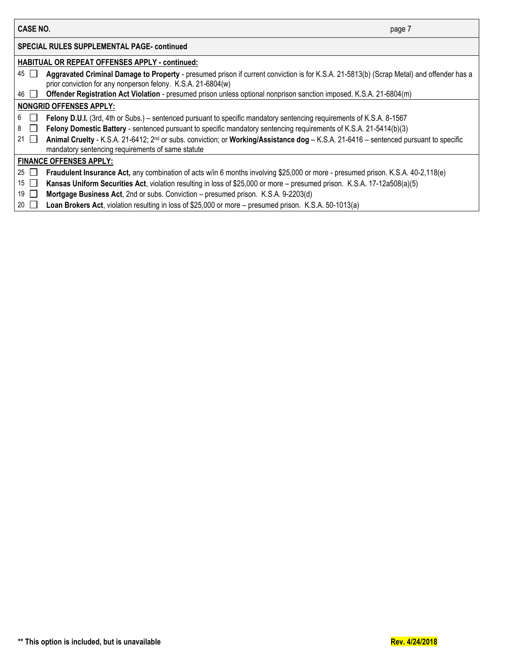| CASE NO.        | page 7                                                                                                                                                                                                   |
|-----------------|----------------------------------------------------------------------------------------------------------------------------------------------------------------------------------------------------------|
|                 | <b>SPECIAL RULES SUPPLEMENTAL PAGE- continued</b>                                                                                                                                                        |
|                 | HABITUAL OR REPEAT OFFENSES APPLY - continued:                                                                                                                                                           |
| 45              | Aggravated Criminal Damage to Property - presumed prison if current conviction is for K.S.A. 21-5813(b) (Scrap Metal) and offender has a<br>prior conviction for any nonperson felony. K.S.A. 21-6804(w) |
| 46 I            | Offender Registration Act Violation - presumed prison unless optional nonprison sanction imposed. K.S.A. 21-6804(m)                                                                                      |
|                 | <b>NONGRID OFFENSES APPLY:</b>                                                                                                                                                                           |
| 6               | Felony D.U.I. (3rd, 4th or Subs.) – sentenced pursuant to specific mandatory sentencing requirements of K.S.A. 8-1567                                                                                    |
| 8               | Felony Domestic Battery - sentenced pursuant to specific mandatory sentencing requirements of K.S.A. 21-5414(b)(3)                                                                                       |
| 21              | Animal Cruelty - K.S.A. 21-6412; 2 <sup>nd</sup> or subs. conviction; or Working/Assistance dog - K.S.A. 21-6416 - sentenced pursuant to specific<br>mandatory sentencing requirements of same statute   |
|                 | <b>FINANCE OFFENSES APPLY:</b>                                                                                                                                                                           |
| 25              | Fraudulent Insurance Act, any combination of acts w/in 6 months involving \$25,000 or more - presumed prison. K.S.A. 40-2,118(e)                                                                         |
| 15 <sup>1</sup> | Kansas Uniform Securities Act, violation resulting in loss of \$25,000 or more – presumed prison. K.S.A. 17-12a508(a)(5)                                                                                 |

- 19 **Mortgage Business Act**, 2nd or subs. Conviction presumed prison. K.S.A. 9-2203(d)
- 20 **Loan Brokers Act**, violation resulting in loss of \$25,000 or more presumed prison. K.S.A. 50-1013(a)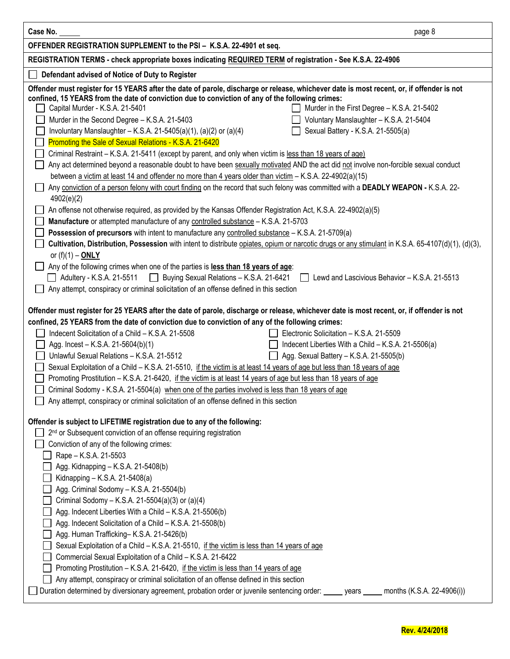| Case No.                                                                                                                                                                                                                                     | page 8                     |
|----------------------------------------------------------------------------------------------------------------------------------------------------------------------------------------------------------------------------------------------|----------------------------|
| OFFENDER REGISTRATION SUPPLEMENT to the PSI - K.S.A. 22-4901 et seq.                                                                                                                                                                         |                            |
| REGISTRATION TERMS - check appropriate boxes indicating REQUIRED TERM of registration - See K.S.A. 22-4906                                                                                                                                   |                            |
| Defendant advised of Notice of Duty to Register                                                                                                                                                                                              |                            |
| Offender must register for 15 YEARS after the date of parole, discharge or release, whichever date is most recent, or, if offender is not                                                                                                    |                            |
| confined, 15 YEARS from the date of conviction due to conviction of any of the following crimes:                                                                                                                                             |                            |
| Murder in the First Degree - K.S.A. 21-5402<br>Capital Murder - K.S.A. 21-5401                                                                                                                                                               |                            |
| Murder in the Second Degree - K.S.A. 21-5403<br>Voluntary Manslaughter - K.S.A. 21-5404                                                                                                                                                      |                            |
| Involuntary Manslaughter - K.S.A. 21-5405(a)(1), (a)(2) or (a)(4)<br>Sexual Battery - K.S.A. 21-5505(a)                                                                                                                                      |                            |
| Promoting the Sale of Sexual Relations - K.S.A. 21-6420<br>Criminal Restraint - K.S.A. 21-5411 (except by parent, and only when victim is less than 18 years of age)                                                                         |                            |
| Any act determined beyond a reasonable doubt to have been sexually motivated AND the act did not involve non-forcible sexual conduct                                                                                                         |                            |
| between a victim at least 14 and offender no more than 4 years older than victim - K.S.A. 22-4902(a)(15)                                                                                                                                     |                            |
| Any conviction of a person felony with court finding on the record that such felony was committed with a DEADLY WEAPON - K.S.A. 22-                                                                                                          |                            |
| 4902(e)(2)                                                                                                                                                                                                                                   |                            |
| An offense not otherwise required, as provided by the Kansas Offender Registration Act, K.S.A. 22-4902(a)(5)                                                                                                                                 |                            |
| Manufacture or attempted manufacture of any controlled substance - K.S.A. 21-5703                                                                                                                                                            |                            |
| Possession of precursors with intent to manufacture any controlled substance - K.S.A. 21-5709(a)                                                                                                                                             |                            |
| Cultivation, Distribution, Possession with intent to distribute opiates, opium or narcotic drugs or any stimulant in K.S.A. 65-4107(d)(1), (d)(3),                                                                                           |                            |
| or $(f)(1) - ONLY$                                                                                                                                                                                                                           |                            |
| Any of the following crimes when one of the parties is less than 18 years of age:<br>Adultery - K.S.A. 21-5511 □ Buying Sexual Relations - K.S.A. 21-6421<br>Lewd and Lascivious Behavior - K.S.A. 21-5513                                   |                            |
| Any attempt, conspiracy or criminal solicitation of an offense defined in this section                                                                                                                                                       |                            |
|                                                                                                                                                                                                                                              |                            |
| Offender must register for 25 YEARS after the date of parole, discharge or release, whichever date is most recent, or, if offender is not                                                                                                    |                            |
| confined, 25 YEARS from the date of conviction due to conviction of any of the following crimes:                                                                                                                                             |                            |
| Indecent Solicitation of a Child - K.S.A. 21-5508<br>Electronic Solicitation - K.S.A. 21-5509                                                                                                                                                |                            |
| Indecent Liberties With a Child - K.S.A. 21-5506(a)<br>Agg. Incest - K.S.A. 21-5604(b)(1)                                                                                                                                                    |                            |
| Unlawful Sexual Relations - K.S.A. 21-5512<br>$\Box$ Agg. Sexual Battery – K.S.A. 21-5505(b)                                                                                                                                                 |                            |
| Sexual Exploitation of a Child - K.S.A. 21-5510, if the victim is at least 14 years of age but less than 18 years of age<br>Promoting Prostitution - K.S.A. 21-6420, if the victim is at least 14 years of age but less than 18 years of age |                            |
| Criminal Sodomy - K.S.A. 21-5504(a) when one of the parties involved is less than 18 years of age                                                                                                                                            |                            |
| Any attempt, conspiracy or criminal solicitation of an offense defined in this section                                                                                                                                                       |                            |
|                                                                                                                                                                                                                                              |                            |
| Offender is subject to LIFETIME registration due to any of the following:                                                                                                                                                                    |                            |
| 2 <sup>nd</sup> or Subsequent conviction of an offense requiring registration                                                                                                                                                                |                            |
| Conviction of any of the following crimes:                                                                                                                                                                                                   |                            |
| Rape - K.S.A. 21-5503<br>Agg. Kidnapping - K.S.A. 21-5408(b)                                                                                                                                                                                 |                            |
| Kidnapping - K.S.A. 21-5408(a)                                                                                                                                                                                                               |                            |
| Agg. Criminal Sodomy - K.S.A. 21-5504(b)                                                                                                                                                                                                     |                            |
| Criminal Sodomy - K.S.A. 21-5504(a)(3) or (a)(4)                                                                                                                                                                                             |                            |
| Agg. Indecent Liberties With a Child - K.S.A. 21-5506(b)                                                                                                                                                                                     |                            |
| Agg. Indecent Solicitation of a Child - K.S.A. 21-5508(b)                                                                                                                                                                                    |                            |
| Agg. Human Trafficking-K.S.A. 21-5426(b)                                                                                                                                                                                                     |                            |
| Sexual Exploitation of a Child - K.S.A. 21-5510, if the victim is less than 14 years of age                                                                                                                                                  |                            |
| Commercial Sexual Exploitation of a Child - K.S.A. 21-6422                                                                                                                                                                                   |                            |
| Promoting Prostitution - K.S.A. 21-6420, if the victim is less than 14 years of age<br>Any attempt, conspiracy or criminal solicitation of an offense defined in this section                                                                |                            |
| Duration determined by diversionary agreement, probation order or juvenile sentencing order: _____ years _____                                                                                                                               | months (K.S.A. 22-4906(i)) |
|                                                                                                                                                                                                                                              |                            |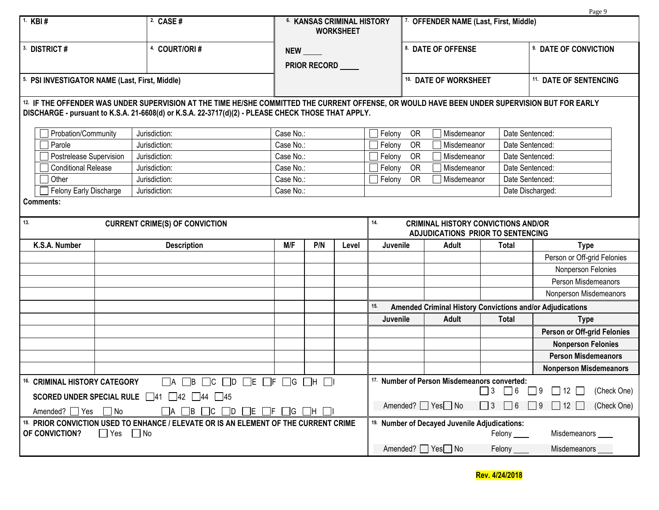|                                                                                                                                |                                                                                                                                                                                                                                                      |                                                |                                                                           |       |                                                                                        |                                                |                                                         |                                                   | Page 9                            |  |  |
|--------------------------------------------------------------------------------------------------------------------------------|------------------------------------------------------------------------------------------------------------------------------------------------------------------------------------------------------------------------------------------------------|------------------------------------------------|---------------------------------------------------------------------------|-------|----------------------------------------------------------------------------------------|------------------------------------------------|---------------------------------------------------------|---------------------------------------------------|-----------------------------------|--|--|
| 1. KBI #                                                                                                                       | 2. CASE #                                                                                                                                                                                                                                            | 6. KANSAS CRIMINAL HISTORY<br><b>WORKSHEET</b> |                                                                           |       |                                                                                        |                                                | 7. OFFENDER NAME (Last, First, Middle)                  |                                                   |                                   |  |  |
| 3. DISTRICT#                                                                                                                   | 4. COURT/ORI#                                                                                                                                                                                                                                        | <b>NEW</b>                                     |                                                                           |       |                                                                                        |                                                | 8. DATE OF OFFENSE                                      |                                                   | 9. DATE OF CONVICTION             |  |  |
|                                                                                                                                |                                                                                                                                                                                                                                                      |                                                | PRIOR RECORD ____                                                         |       |                                                                                        |                                                |                                                         |                                                   |                                   |  |  |
| 5. PSI INVESTIGATOR NAME (Last, First, Middle)                                                                                 |                                                                                                                                                                                                                                                      |                                                |                                                                           |       |                                                                                        |                                                | 10. DATE OF WORKSHEET                                   |                                                   | <sup>11.</sup> DATE OF SENTENCING |  |  |
|                                                                                                                                | 12. IF THE OFFENDER WAS UNDER SUPERVISION AT THE TIME HE/SHE COMMITTED THE CURRENT OFFENSE, OR WOULD HAVE BEEN UNDER SUPERVISION BUT FOR EARLY<br>DISCHARGE - pursuant to K.S.A. 21-6608(d) or K.S.A. 22-3717(d)(2) - PLEASE CHECK THOSE THAT APPLY. |                                                |                                                                           |       |                                                                                        |                                                |                                                         |                                                   |                                   |  |  |
| Probation/Community                                                                                                            | Jurisdiction:                                                                                                                                                                                                                                        | Case No.:                                      |                                                                           |       | Felony                                                                                 | OR                                             | Misdemeanor                                             |                                                   | Date Sentenced:                   |  |  |
| Parole                                                                                                                         | Jurisdiction:                                                                                                                                                                                                                                        | Case No.:                                      |                                                                           |       | Felony                                                                                 | OR                                             | Misdemeanor                                             |                                                   | Date Sentenced:                   |  |  |
| Postrelease Supervision                                                                                                        | Jurisdiction:                                                                                                                                                                                                                                        | Case No.:                                      |                                                                           |       | Felony                                                                                 | OR                                             | Misdemeanor                                             |                                                   | Date Sentenced:                   |  |  |
| <b>Conditional Release</b>                                                                                                     | Jurisdiction:                                                                                                                                                                                                                                        | Case No.:                                      |                                                                           |       | Felony                                                                                 | <b>OR</b>                                      | Misdemeanor                                             |                                                   | Date Sentenced:                   |  |  |
| Other                                                                                                                          | Jurisdiction:                                                                                                                                                                                                                                        | Case No.:                                      |                                                                           |       | Felony                                                                                 | <b>OR</b>                                      | Misdemeanor                                             |                                                   | Date Sentenced:                   |  |  |
| Felony Early Discharge                                                                                                         | Jurisdiction:                                                                                                                                                                                                                                        | Case No.:                                      |                                                                           |       |                                                                                        |                                                |                                                         |                                                   | Date Discharged:                  |  |  |
| <b>Comments:</b>                                                                                                               |                                                                                                                                                                                                                                                      |                                                |                                                                           |       |                                                                                        |                                                |                                                         |                                                   |                                   |  |  |
| 13.                                                                                                                            | <b>CURRENT CRIME(S) OF CONVICTION</b>                                                                                                                                                                                                                |                                                |                                                                           |       | 14.<br><b>CRIMINAL HISTORY CONVICTIONS AND/OR</b><br>ADJUDICATIONS PRIOR TO SENTENCING |                                                |                                                         |                                                   |                                   |  |  |
| K.S.A. Number                                                                                                                  | <b>Description</b>                                                                                                                                                                                                                                   | M/F                                            | P/N                                                                       | Level | Juvenile                                                                               |                                                | <b>Adult</b>                                            | <b>Total</b>                                      | <b>Type</b>                       |  |  |
|                                                                                                                                |                                                                                                                                                                                                                                                      |                                                |                                                                           |       |                                                                                        |                                                |                                                         |                                                   | Person or Off-grid Felonies       |  |  |
|                                                                                                                                |                                                                                                                                                                                                                                                      |                                                |                                                                           |       |                                                                                        |                                                |                                                         |                                                   | Nonperson Felonies                |  |  |
|                                                                                                                                |                                                                                                                                                                                                                                                      |                                                |                                                                           |       |                                                                                        |                                                |                                                         |                                                   | Person Misdemeanors               |  |  |
|                                                                                                                                |                                                                                                                                                                                                                                                      |                                                |                                                                           |       |                                                                                        |                                                |                                                         |                                                   | Nonperson Misdemeanors            |  |  |
|                                                                                                                                |                                                                                                                                                                                                                                                      |                                                |                                                                           |       | 15.<br>Amended Criminal History Convictions and/or Adjudications                       |                                                |                                                         |                                                   |                                   |  |  |
|                                                                                                                                |                                                                                                                                                                                                                                                      |                                                |                                                                           |       | Juvenile                                                                               |                                                | <b>Adult</b>                                            | <b>Total</b>                                      | <b>Type</b>                       |  |  |
|                                                                                                                                |                                                                                                                                                                                                                                                      |                                                |                                                                           |       |                                                                                        |                                                |                                                         |                                                   | Person or Off-grid Felonies       |  |  |
|                                                                                                                                |                                                                                                                                                                                                                                                      |                                                |                                                                           |       |                                                                                        |                                                |                                                         |                                                   | <b>Nonperson Felonies</b>         |  |  |
|                                                                                                                                |                                                                                                                                                                                                                                                      |                                                |                                                                           |       |                                                                                        |                                                |                                                         |                                                   | <b>Person Misdemeanors</b>        |  |  |
|                                                                                                                                |                                                                                                                                                                                                                                                      |                                                |                                                                           |       |                                                                                        |                                                |                                                         |                                                   | <b>Nonperson Misdemeanors</b>     |  |  |
| <sup>16.</sup> CRIMINAL HISTORY CATEGORY                                                                                       | $\Box A \Box B \Box C \Box D \Box E \Box F \Box G \Box H \Box I$                                                                                                                                                                                     |                                                |                                                                           |       |                                                                                        |                                                | <sup>17.</sup> Number of Person Misdemeanors converted: |                                                   |                                   |  |  |
| <b>SCORED UNDER SPECIAL RULE</b> $\Box$ 41 $\Box$ 42 $\Box$ 44 $\Box$ 45                                                       |                                                                                                                                                                                                                                                      |                                                |                                                                           |       | $\Box$ 3<br>$\vert$   6                                                                | (Check One)<br>$\vert$   9<br>$\Box$ 12 $\Box$ |                                                         |                                                   |                                   |  |  |
| Amended? $\Box$ Yes<br>$\Box$ b $\Box$ c $\Box$ d<br>$\Box$ e $\Box$ f $\Box$ g $\Box$ h $\Box$ i<br>$\Box$ No<br>IA I         |                                                                                                                                                                                                                                                      |                                                |                                                                           |       |                                                                                        | Amended? Ves <sub>Ω</sub> No                   | $\Box$ 6<br>l 13                                        | $\Box$ 12 $\Box$<br>(Check One)<br>$\overline{9}$ |                                   |  |  |
| 18. PRIOR CONVICTION USED TO ENHANCE / ELEVATE OR IS AN ELEMENT OF THE CURRENT CRIME<br>OF CONVICTION?<br>$\Box$ Yes $\Box$ No |                                                                                                                                                                                                                                                      |                                                | <sup>19.</sup> Number of Decayed Juvenile Adjudications:<br>Felony $\_\_$ |       |                                                                                        |                                                | Misdemeanors ___                                        |                                                   |                                   |  |  |
|                                                                                                                                |                                                                                                                                                                                                                                                      |                                                |                                                                           |       |                                                                                        |                                                | Amended? Ves <sub>Ω</sub> No                            | Felony $\_\_\_\$                                  | Misdemeanors ___                  |  |  |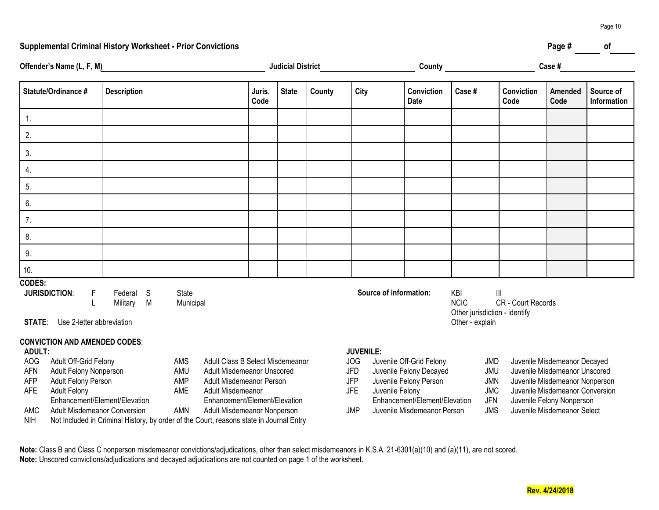### **Supplemental Criminal History Worksheet - Prior Convictions Page # of**

| Offender's Name (L, F, M)<br>and the company of the company of the company of                                                                                                                                                                                                                                                                                   |                                | <b>Judicial District</b> |  |                |                                               |                 |                                                                                                                | Case #                 |                                                      |                                                                        |                                                                                                                                                                 |                    |                        |                          |
|-----------------------------------------------------------------------------------------------------------------------------------------------------------------------------------------------------------------------------------------------------------------------------------------------------------------------------------------------------------------|--------------------------------|--------------------------|--|----------------|-----------------------------------------------|-----------------|----------------------------------------------------------------------------------------------------------------|------------------------|------------------------------------------------------|------------------------------------------------------------------------|-----------------------------------------------------------------------------------------------------------------------------------------------------------------|--------------------|------------------------|--------------------------|
| Statute/Ordinance #                                                                                                                                                                                                                                                                                                                                             | <b>Description</b>             |                          |  | Juris.<br>Code | <b>State</b>                                  | County          | City                                                                                                           |                        | Conviction<br><b>Date</b>                            | Case#                                                                  |                                                                                                                                                                 | Conviction<br>Code | <b>Amended</b><br>Code | Source of<br>Information |
| $\overline{1}$ .                                                                                                                                                                                                                                                                                                                                                |                                |                          |  |                |                                               |                 |                                                                                                                |                        |                                                      |                                                                        |                                                                                                                                                                 |                    |                        |                          |
| 2.                                                                                                                                                                                                                                                                                                                                                              |                                |                          |  |                |                                               |                 |                                                                                                                |                        |                                                      |                                                                        |                                                                                                                                                                 |                    |                        |                          |
| 3.                                                                                                                                                                                                                                                                                                                                                              |                                |                          |  |                |                                               |                 |                                                                                                                |                        |                                                      |                                                                        |                                                                                                                                                                 |                    |                        |                          |
| 4.                                                                                                                                                                                                                                                                                                                                                              |                                |                          |  |                |                                               |                 |                                                                                                                |                        |                                                      |                                                                        |                                                                                                                                                                 |                    |                        |                          |
| 5.                                                                                                                                                                                                                                                                                                                                                              |                                |                          |  |                |                                               |                 |                                                                                                                |                        |                                                      |                                                                        |                                                                                                                                                                 |                    |                        |                          |
| 6.                                                                                                                                                                                                                                                                                                                                                              |                                |                          |  |                |                                               |                 |                                                                                                                |                        |                                                      |                                                                        |                                                                                                                                                                 |                    |                        |                          |
| 7.                                                                                                                                                                                                                                                                                                                                                              |                                |                          |  |                |                                               |                 |                                                                                                                |                        |                                                      |                                                                        |                                                                                                                                                                 |                    |                        |                          |
| 8.                                                                                                                                                                                                                                                                                                                                                              |                                |                          |  |                |                                               |                 |                                                                                                                |                        |                                                      |                                                                        |                                                                                                                                                                 |                    |                        |                          |
| 9.                                                                                                                                                                                                                                                                                                                                                              |                                |                          |  |                |                                               |                 |                                                                                                                |                        |                                                      |                                                                        |                                                                                                                                                                 |                    |                        |                          |
| 10.                                                                                                                                                                                                                                                                                                                                                             |                                |                          |  |                |                                               |                 |                                                                                                                |                        |                                                      |                                                                        |                                                                                                                                                                 |                    |                        |                          |
| <b>CODES:</b><br><b>JURISDICTION:</b><br>F.<br>Use 2-letter abbreviation<br><b>STATE:</b>                                                                                                                                                                                                                                                                       | S.<br>Federal<br>M<br>Military | State<br>Municipal       |  |                |                                               |                 |                                                                                                                | Source of information: |                                                      | KBI<br><b>NCIC</b><br>Other jurisdiction - identify<br>Other - explain | $\mathbf{III}$                                                                                                                                                  | CR - Court Records |                        |                          |
| <b>CONVICTION AND AMENDED CODES:</b><br><b>ADULT:</b>                                                                                                                                                                                                                                                                                                           |                                |                          |  |                |                                               |                 | <b>JUVENILE:</b>                                                                                               |                        |                                                      |                                                                        |                                                                                                                                                                 |                    |                        |                          |
| AOG<br>Adult Off-Grid Felony<br>Adult Class B Select Misdemeanor<br>AMS<br>AFN<br>Adult Felony Nonperson<br>AMU<br><b>Adult Misdemeanor Unscored</b><br>AMP<br><b>AFP</b><br>Adult Felony Person<br>Adult Misdemeanor Person<br><b>AFE</b><br><b>Adult Felony</b><br>AME<br>Adult Misdemeanor<br>Enhancement/Element/Elevation<br>Enhancement/Element/Elevation |                                |                          |  |                | <b>JOG</b><br>JFD<br><b>JFP</b><br><b>JFE</b> | Juvenile Felony | Juvenile Off-Grid Felony<br>Juvenile Felony Decayed<br>Juvenile Felony Person<br>Enhancement/Element/Elevation |                        | JMD<br>JMU<br><b>JMN</b><br><b>JMC</b><br><b>JFN</b> |                                                                        | Juvenile Misdemeanor Decayed<br>Juvenile Misdemeanor Unscored<br>Juvenile Misdemeanor Nonperson<br>Juvenile Misdemeanor Conversion<br>Juvenile Felony Nonperson |                    |                        |                          |

AMC Adult Misdemeanor Conversion AMN Adult Misdemeanor Nonperson JMP Juvenile Misdemeanor Person JMS Juvenile Misdemeanor Select

NIH Not Included in Criminal History, by order of the Court, reasons state in Journal Entry

**Note:** Class B and Class C nonperson misdemeanor convictions/adjudications, other than select misdemeanors in K.S.A. 21-6301(a)(10) and (a)(11), are not scored. **Note:** Unscored convictions/adjudications and decayed adjudications are not counted on page 1 of the worksheet.